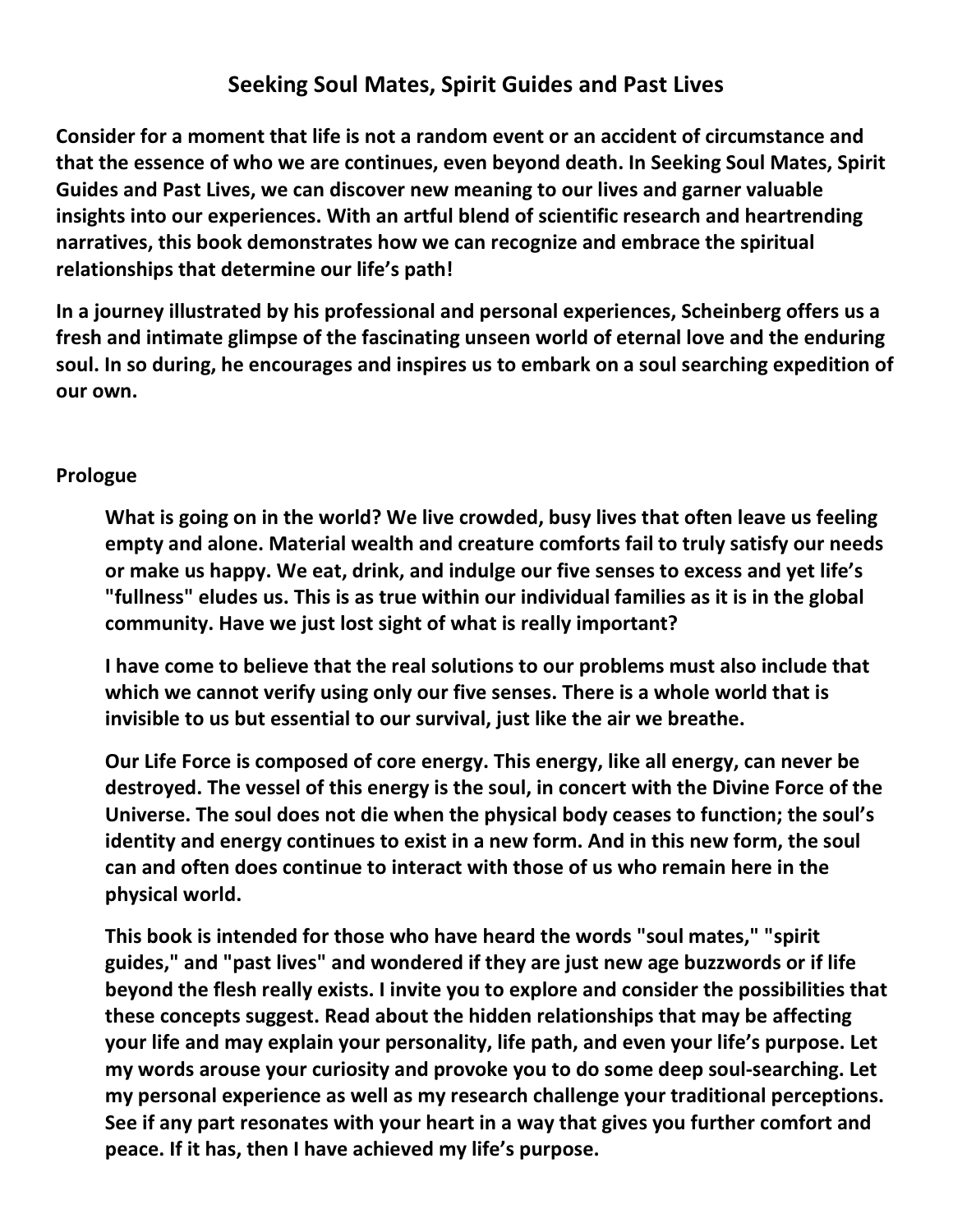# Seeking Soul Mates, Spirit Guides and Past Lives

Consider for a moment that life is not a random event or an accident of circumstance and that the essence of who we are continues, even beyond death. In Seeking Soul Mates, Spirit Guides and Past Lives, we can discover new meaning to our lives and garner valuable insights into our experiences. With an artful blend of scientific research and heartrending narratives, this book demonstrates how we can recognize and embrace the spiritual relationships that determine our life's path!

In a journey illustrated by his professional and personal experiences, Scheinberg offers us a fresh and intimate glimpse of the fascinating unseen world of eternal love and the enduring soul. In so during, he encourages and inspires us to embark on a soul searching expedition of our own.

### Prologue

What is going on in the world? We live crowded, busy lives that often leave us feeling empty and alone. Material wealth and creature comforts fail to truly satisfy our needs or make us happy. We eat, drink, and indulge our five senses to excess and yet life's "fullness" eludes us. This is as true within our individual families as it is in the global community. Have we just lost sight of what is really important?

I have come to believe that the real solutions to our problems must also include that which we cannot verify using only our five senses. There is a whole world that is invisible to us but essential to our survival, just like the air we breathe.

Our Life Force is composed of core energy. This energy, like all energy, can never be destroyed. The vessel of this energy is the soul, in concert with the Divine Force of the Universe. The soul does not die when the physical body ceases to function; the soul's identity and energy continues to exist in a new form. And in this new form, the soul can and often does continue to interact with those of us who remain here in the physical world.

This book is intended for those who have heard the words "soul mates," "spirit guides," and "past lives" and wondered if they are just new age buzzwords or if life beyond the flesh really exists. I invite you to explore and consider the possibilities that these concepts suggest. Read about the hidden relationships that may be affecting your life and may explain your personality, life path, and even your life's purpose. Let my words arouse your curiosity and provoke you to do some deep soul-searching. Let my personal experience as well as my research challenge your traditional perceptions. See if any part resonates with your heart in a way that gives you further comfort and peace. If it has, then I have achieved my life's purpose.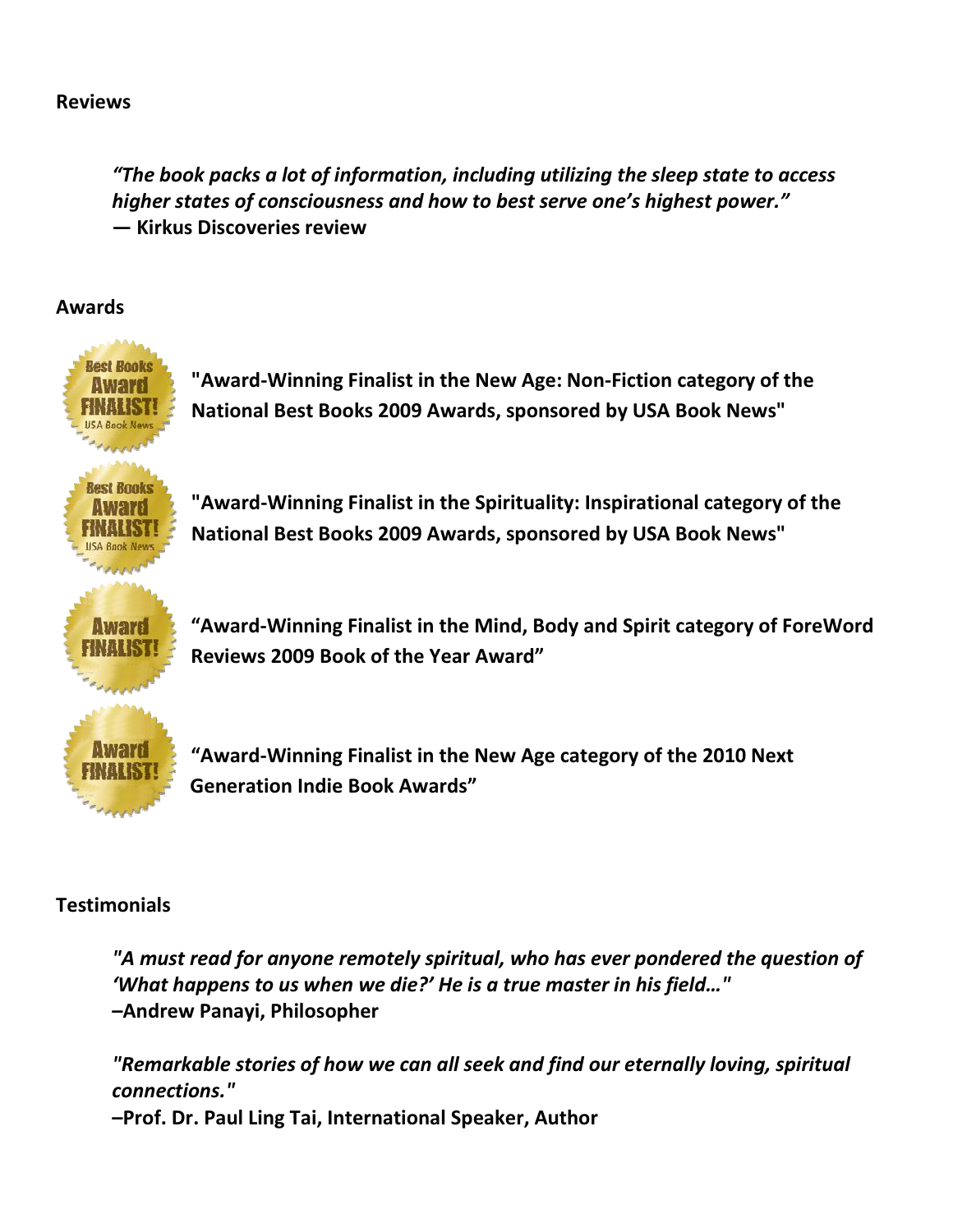#### Reviews

"The book packs a lot of information, including utilizing the sleep state to access higher states of consciousness and how to best serve one's highest power." — Kirkus Discoveries review

#### Awards



"Award-Winning Finalist in the New Age: Non-Fiction category of the National Best Books 2009 Awards, sponsored by USA Book News"

"Award-Winning Finalist in the Spirituality: Inspirational category of the National Best Books 2009 Awards, sponsored by USA Book News"

"Award-Winning Finalist in the Mind, Body and Spirit category of ForeWord Reviews 2009 Book of the Year Award"

"Award-Winning Finalist in the New Age category of the 2010 Next Generation Indie Book Awards"

## **Testimonials**

"A must read for anyone remotely spiritual, who has ever pondered the question of 'What happens to us when we die?' He is a true master in his field…" –Andrew Panayi, Philosopher

"Remarkable stories of how we can all seek and find our eternally loving, spiritual connections." –Prof. Dr. Paul Ling Tai, International Speaker, Author